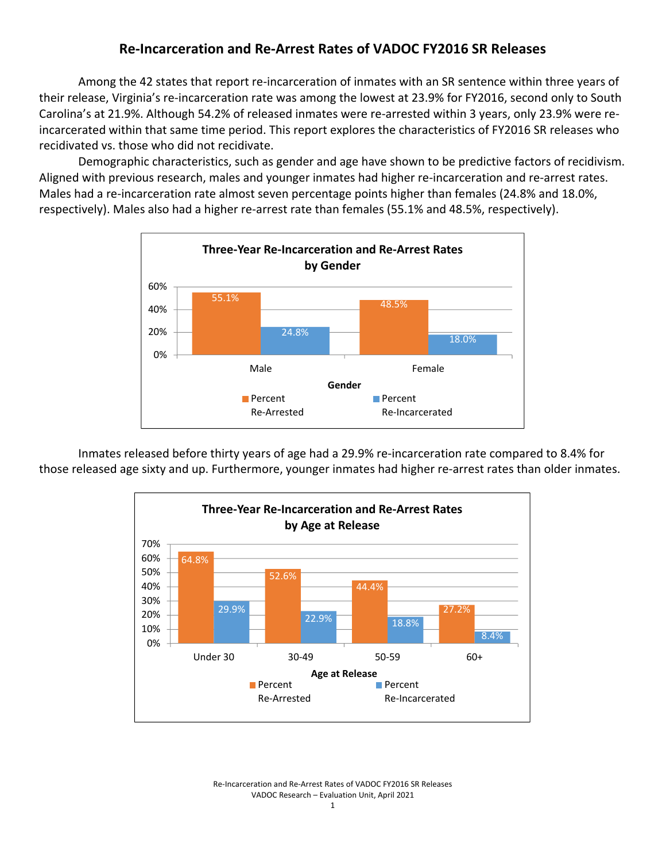## **Re‐Incarceration and Re‐Arrest Rates of VADOC FY2016 SR Releases**

Among the 42 states that report re‐incarceration of inmates with an SR sentence within three years of their release, Virginia's re‐incarceration rate was among the lowest at 23.9% for FY2016, second only to South Carolina's at 21.9%. Although 54.2% of released inmates were re‐arrested within 3 years, only 23.9% were re‐ incarcerated within that same time period. This report explores the characteristics of FY2016 SR releases who recidivated vs. those who did not recidivate.

Demographic characteristics, such as gender and age have shown to be predictive factors of recidivism. Aligned with previous research, males and younger inmates had higher re-incarceration and re-arrest rates. Males had a re-incarceration rate almost seven percentage points higher than females (24.8% and 18.0%, respectively). Males also had a higher re-arrest rate than females (55.1% and 48.5%, respectively).



Inmates released before thirty years of age had a 29.9% re‐incarceration rate compared to 8.4% for those released age sixty and up. Furthermore, younger inmates had higher re‐arrest rates than older inmates.



Re‐Incarceration and Re‐Arrest Rates of VADOC FY2016 SR Releases VADOC Research – Evaluation Unit, April 2021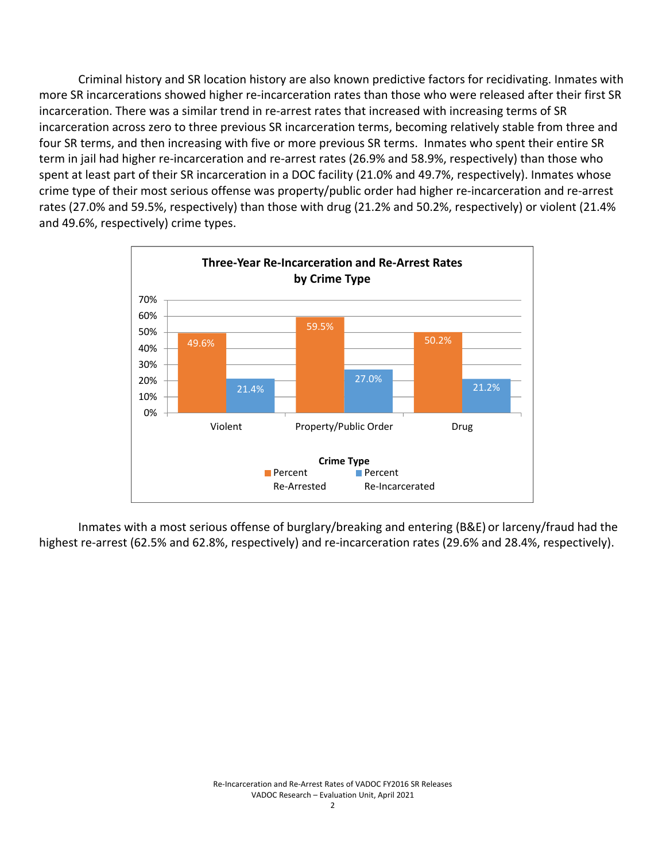Criminal history and SR location history are also known predictive factors for recidivating. Inmates with more SR incarcerations showed higher re‐incarceration rates than those who were released after their first SR incarceration. There was a similar trend in re‐arrest rates that increased with increasing terms of SR incarceration across zero to three previous SR incarceration terms, becoming relatively stable from three and four SR terms, and then increasing with five or more previous SR terms. Inmates who spent their entire SR term in jail had higher re‐incarceration and re‐arrest rates (26.9% and 58.9%, respectively) than those who spent at least part of their SR incarceration in a DOC facility (21.0% and 49.7%, respectively). Inmates whose crime type of their most serious offense was property/public order had higher re‐incarceration and re‐arrest rates (27.0% and 59.5%, respectively) than those with drug (21.2% and 50.2%, respectively) or violent (21.4% and 49.6%, respectively) crime types.



Inmates with a most serious offense of burglary/breaking and entering (B&E) or larceny/fraud had the highest re-arrest (62.5% and 62.8%, respectively) and re-incarceration rates (29.6% and 28.4%, respectively).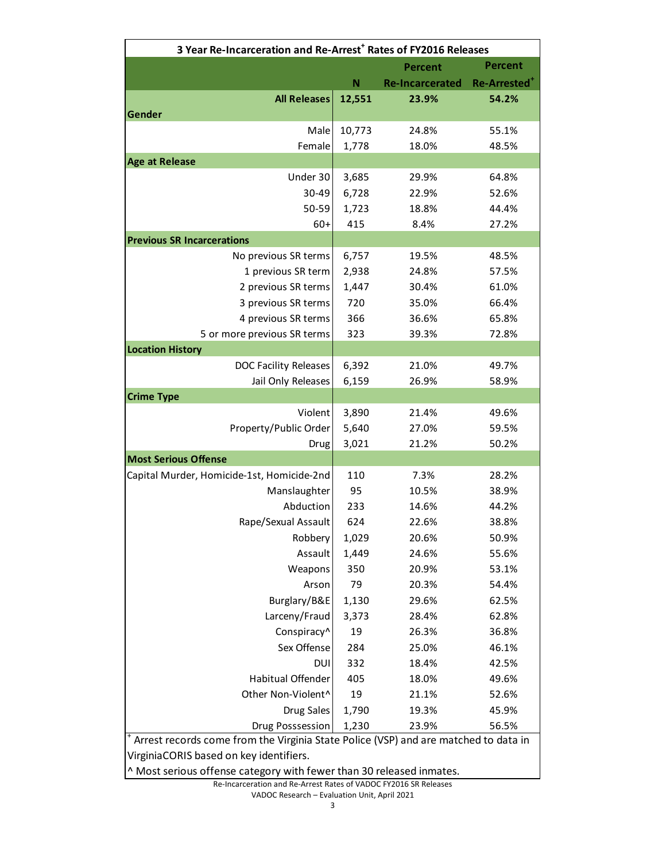| 3 Year Re-Incarceration and Re-Arrest <sup>+</sup> Rates of FY2016 Releases         |        |                        |                          |  |
|-------------------------------------------------------------------------------------|--------|------------------------|--------------------------|--|
|                                                                                     |        | <b>Percent</b>         | <b>Percent</b>           |  |
|                                                                                     | N      | <b>Re-Incarcerated</b> | Re-Arrested <sup>+</sup> |  |
| <b>All Releases</b>                                                                 | 12,551 | 23.9%                  | 54.2%                    |  |
| Gender                                                                              |        |                        |                          |  |
| Male                                                                                | 10,773 | 24.8%                  | 55.1%                    |  |
| Female                                                                              | 1,778  | 18.0%                  | 48.5%                    |  |
| <b>Age at Release</b>                                                               |        |                        |                          |  |
| Under 30                                                                            | 3,685  | 29.9%                  | 64.8%                    |  |
| 30-49                                                                               | 6,728  | 22.9%                  | 52.6%                    |  |
| 50-59                                                                               | 1,723  | 18.8%                  | 44.4%                    |  |
| $60+$                                                                               | 415    | 8.4%                   | 27.2%                    |  |
| <b>Previous SR Incarcerations</b>                                                   |        |                        |                          |  |
| No previous SR terms                                                                | 6,757  | 19.5%                  | 48.5%                    |  |
| 1 previous SR term                                                                  | 2,938  | 24.8%                  | 57.5%                    |  |
| 2 previous SR terms                                                                 | 1,447  | 30.4%                  | 61.0%                    |  |
| 3 previous SR terms                                                                 | 720    | 35.0%                  | 66.4%                    |  |
| 4 previous SR terms                                                                 | 366    | 36.6%                  | 65.8%                    |  |
| 5 or more previous SR terms                                                         | 323    | 39.3%                  | 72.8%                    |  |
| <b>Location History</b>                                                             |        |                        |                          |  |
| <b>DOC Facility Releases</b>                                                        | 6,392  | 21.0%                  | 49.7%                    |  |
| Jail Only Releases                                                                  | 6,159  | 26.9%                  | 58.9%                    |  |
| <b>Crime Type</b>                                                                   |        |                        |                          |  |
| Violent                                                                             | 3,890  | 21.4%                  | 49.6%                    |  |
| Property/Public Order                                                               | 5,640  | 27.0%                  | 59.5%                    |  |
| Drug                                                                                | 3,021  | 21.2%                  | 50.2%                    |  |
| <b>Most Serious Offense</b>                                                         |        |                        |                          |  |
| Capital Murder, Homicide-1st, Homicide-2nd                                          | 110    | 7.3%                   | 28.2%                    |  |
| Manslaughter                                                                        | 95     | 10.5%                  | 38.9%                    |  |
| Abduction                                                                           | 233    | 14.6%                  | 44.2%                    |  |
| Rape/Sexual Assault                                                                 | 624    | 22.6%                  | 38.8%                    |  |
| Robbery                                                                             | 1,029  | 20.6%                  | 50.9%                    |  |
| Assault                                                                             | 1,449  | 24.6%                  | 55.6%                    |  |
| Weapons                                                                             | 350    | 20.9%                  | 53.1%                    |  |
| Arson                                                                               | 79     | 20.3%                  | 54.4%                    |  |
| Burglary/B&E                                                                        | 1,130  | 29.6%                  | 62.5%                    |  |
| Larceny/Fraud                                                                       | 3,373  | 28.4%                  | 62.8%                    |  |
| Conspiracy^                                                                         | 19     | 26.3%                  | 36.8%                    |  |
| Sex Offense                                                                         | 284    | 25.0%                  | 46.1%                    |  |
| <b>DUI</b>                                                                          | 332    | 18.4%                  | 42.5%                    |  |
| Habitual Offender                                                                   | 405    | 18.0%                  | 49.6%                    |  |
| Other Non-Violent^                                                                  | 19     | 21.1%                  | 52.6%                    |  |
| <b>Drug Sales</b>                                                                   | 1,790  | 19.3%                  | 45.9%                    |  |
| Drug Posssession                                                                    | 1,230  | 23.9%                  | 56.5%                    |  |
| Arrest records come from the Virginia State Police (VSP) and are matched to data in |        |                        |                          |  |
| VirginiaCORIS based on key identifiers.                                             |        |                        |                          |  |
| ^ Most serious offense category with fewer than 30 released inmates.                |        |                        |                          |  |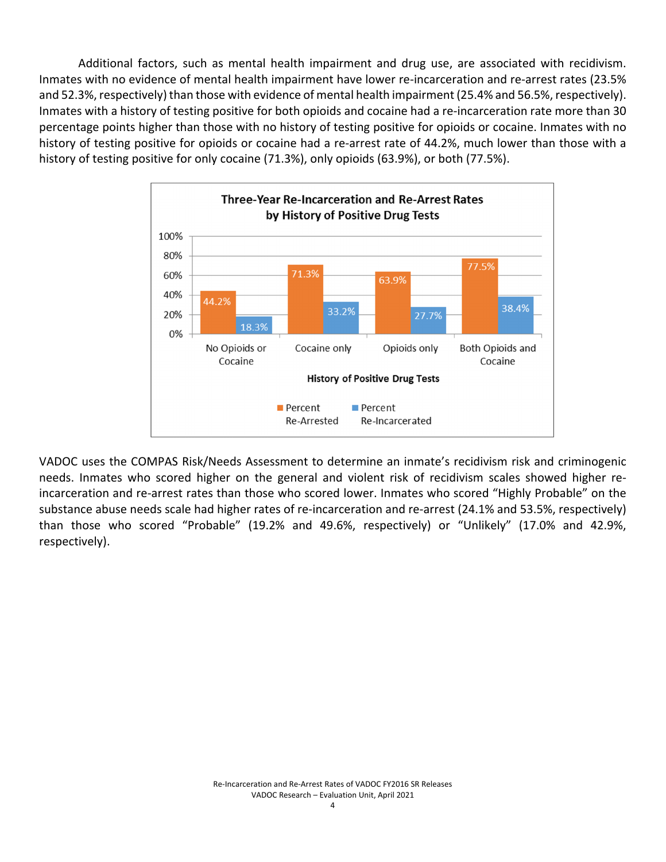Additional factors, such as mental health impairment and drug use, are associated with recidivism. Inmates with no evidence of mental health impairment have lower re-incarceration and re-arrest rates (23.5% and 52.3%, respectively) than those with evidence of mental health impairment (25.4% and 56.5%, respectively). Inmates with a history of testing positive for both opioids and cocaine had a re-incarceration rate more than 30 percentage points higher than those with no history of testing positive for opioids or cocaine. Inmates with no history of testing positive for opioids or cocaine had a re-arrest rate of 44.2%, much lower than those with a history of testing positive for only cocaine (71.3%), only opioids (63.9%), or both (77.5%).



VADOC uses the COMPAS Risk/Needs Assessment to determine an inmate's recidivism risk and criminogenic needs. Inmates who scored higher on the general and violent risk of recidivism scales showed higher re‐ incarceration and re‐arrest rates than those who scored lower. Inmates who scored "Highly Probable" on the substance abuse needs scale had higher rates of re-incarceration and re-arrest (24.1% and 53.5%, respectively) than those who scored "Probable" (19.2% and 49.6%, respectively) or "Unlikely" (17.0% and 42.9%, respectively).